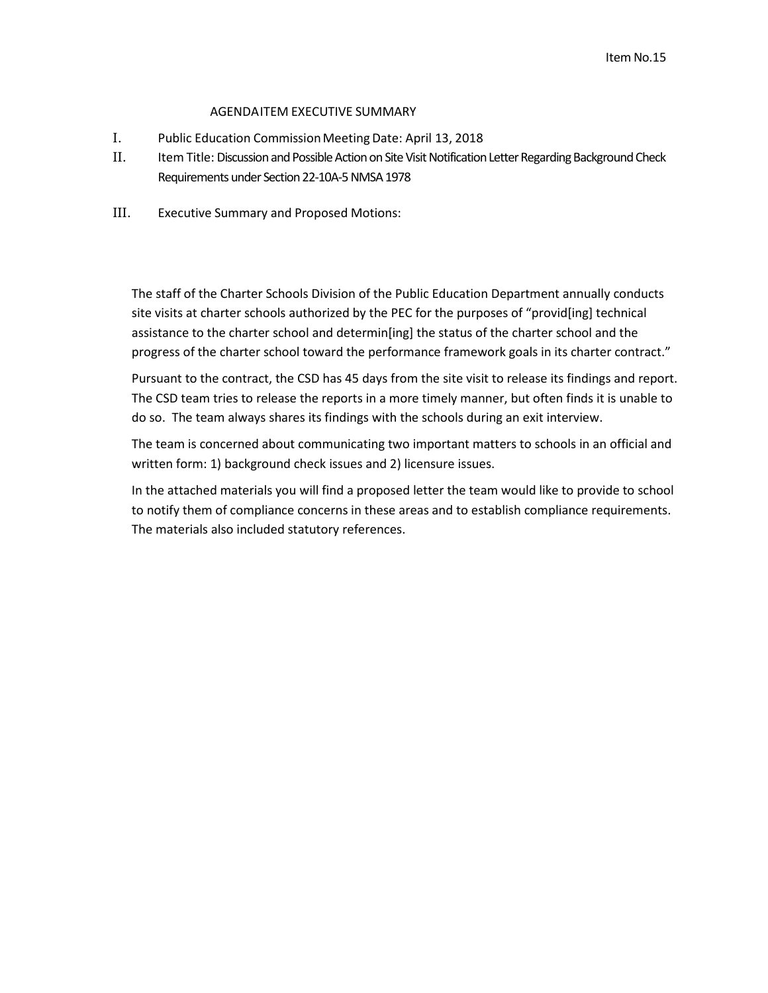## AGENDAITEM EXECUTIVE SUMMARY

- I. Public Education Commission Meeting Date: April 13, 2018
- II. Item Title: Discussion and Possible Action on Site Visit Notification Letter Regarding Background Check Requirements under Section 22-10A-5 NMSA 1978
- III. Executive Summary and Proposed Motions:

The staff of the Charter Schools Division of the Public Education Department annually conducts site visits at charter schools authorized by the PEC for the purposes of "provid[ing] technical assistance to the charter school and determin[ing] the status of the charter school and the progress of the charter school toward the performance framework goals in its charter contract."

Pursuant to the contract, the CSD has 45 days from the site visit to release its findings and report. The CSD team tries to release the reports in a more timely manner, but often finds it is unable to do so. The team always shares its findings with the schools during an exit interview.

The team is concerned about communicating two important matters to schools in an official and written form: 1) background check issues and 2) licensure issues.

In the attached materials you will find a proposed letter the team would like to provide to school to notify them of compliance concerns in these areas and to establish compliance requirements. The materials also included statutory references.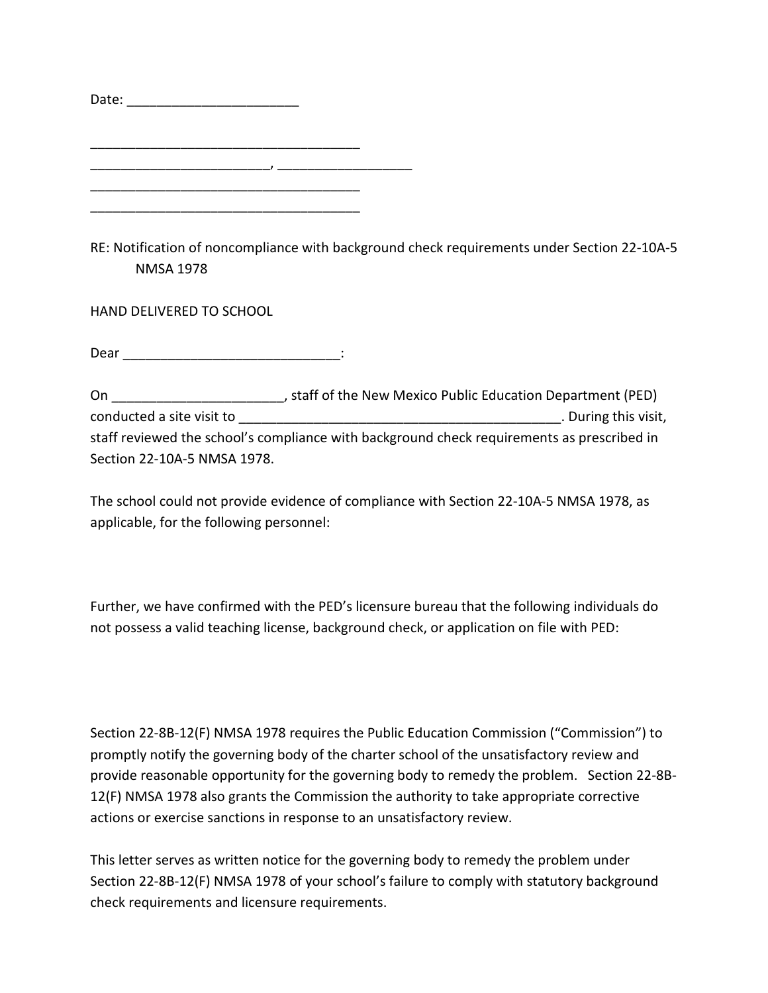| Date: $\overline{\phantom{a}}$ | <u> 1980 - Jan Barbarat, manala</u> |  |  |
|--------------------------------|-------------------------------------|--|--|
|                                |                                     |  |  |
|                                |                                     |  |  |
|                                |                                     |  |  |
|                                |                                     |  |  |
|                                |                                     |  |  |
|                                |                                     |  |  |

RE: Notification of noncompliance with background check requirements under Section 22-10A-5 NMSA 1978

HAND DELIVERED TO SCHOOL

 $\noindent \textsf{Dear}$   $\qquad \qquad \textsf{.}$ 

On \_\_\_\_\_\_\_\_\_\_\_\_\_\_\_\_\_\_\_\_\_\_\_, staff of the New Mexico Public Education Department (PED) conducted a site visit to **conducted** a site visit to **and a site visit** of  $\overline{a}$  and  $\overline{b}$  and  $\overline{c}$  and  $\overline{d}$  and  $\overline{c}$  and  $\overline{d}$  and  $\overline{d}$  and  $\overline{d}$  and  $\overline{d}$  and  $\overline{d}$  and  $\overline{d}$  and  $\over$ staff reviewed the school's compliance with background check requirements as prescribed in Section 22-10A-5 NMSA 1978.

The school could not provide evidence of compliance with Section 22-10A-5 NMSA 1978, as applicable, for the following personnel:

Further, we have confirmed with the PED's licensure bureau that the following individuals do not possess a valid teaching license, background check, or application on file with PED:

Section 22-8B-12(F) NMSA 1978 requires the Public Education Commission ("Commission") to promptly notify the governing body of the charter school of the unsatisfactory review and provide reasonable opportunity for the governing body to remedy the problem. Section 22-8B-12(F) NMSA 1978 also grants the Commission the authority to take appropriate corrective actions or exercise sanctions in response to an unsatisfactory review.

This letter serves as written notice for the governing body to remedy the problem under Section 22-8B-12(F) NMSA 1978 of your school's failure to comply with statutory background check requirements and licensure requirements.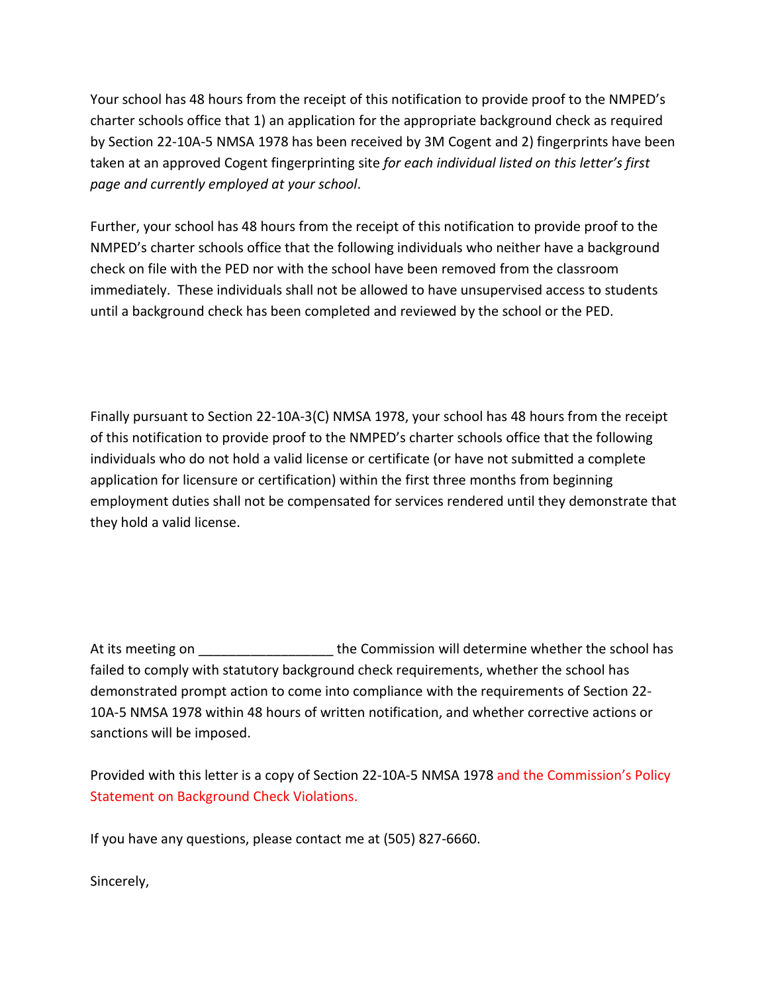Your school has 48 hours from the receipt of this notification to provide proof to the NMPED's charter schools office that 1) an application for the appropriate background check as required by Section 22-10A-5 NMSA 1978 has been received by 3M Cogent and 2) fingerprints have been taken at an approved Cogent fingerprinting site *for each individual listed on this letter's first page and currently employed at your school*.

Further, your school has 48 hours from the receipt of this notification to provide proof to the NMPED's charter schools office that the following individuals who neither have a background check on file with the PED nor with the school have been removed from the classroom immediately. These individuals shall not be allowed to have unsupervised access to students until a background check has been completed and reviewed by the school or the PED.

Finally pursuant to Section 22-10A-3(C) NMSA 1978, your school has 48 hours from the receipt of this notification to provide proof to the NMPED's charter schools office that the following individuals who do not hold a valid license or certificate (or have not submitted a complete application for licensure or certification) within the first three months from beginning employment duties shall not be compensated for services rendered until they demonstrate that they hold a valid license.

At its meeting on Table 1 and the Commission will determine whether the school has failed to comply with statutory background check requirements, whether the school has demonstrated prompt action to come into compliance with the requirements of Section 22- 10A-5 NMSA 1978 within 48 hours of written notification, and whether corrective actions or sanctions will be imposed.

Provided with this letter is a copy of Section 22-10A-5 NMSA 1978 and the Commission's Policy Statement on Background Check Violations.

If you have any questions, please contact me at (505) 827-6660.

Sincerely,